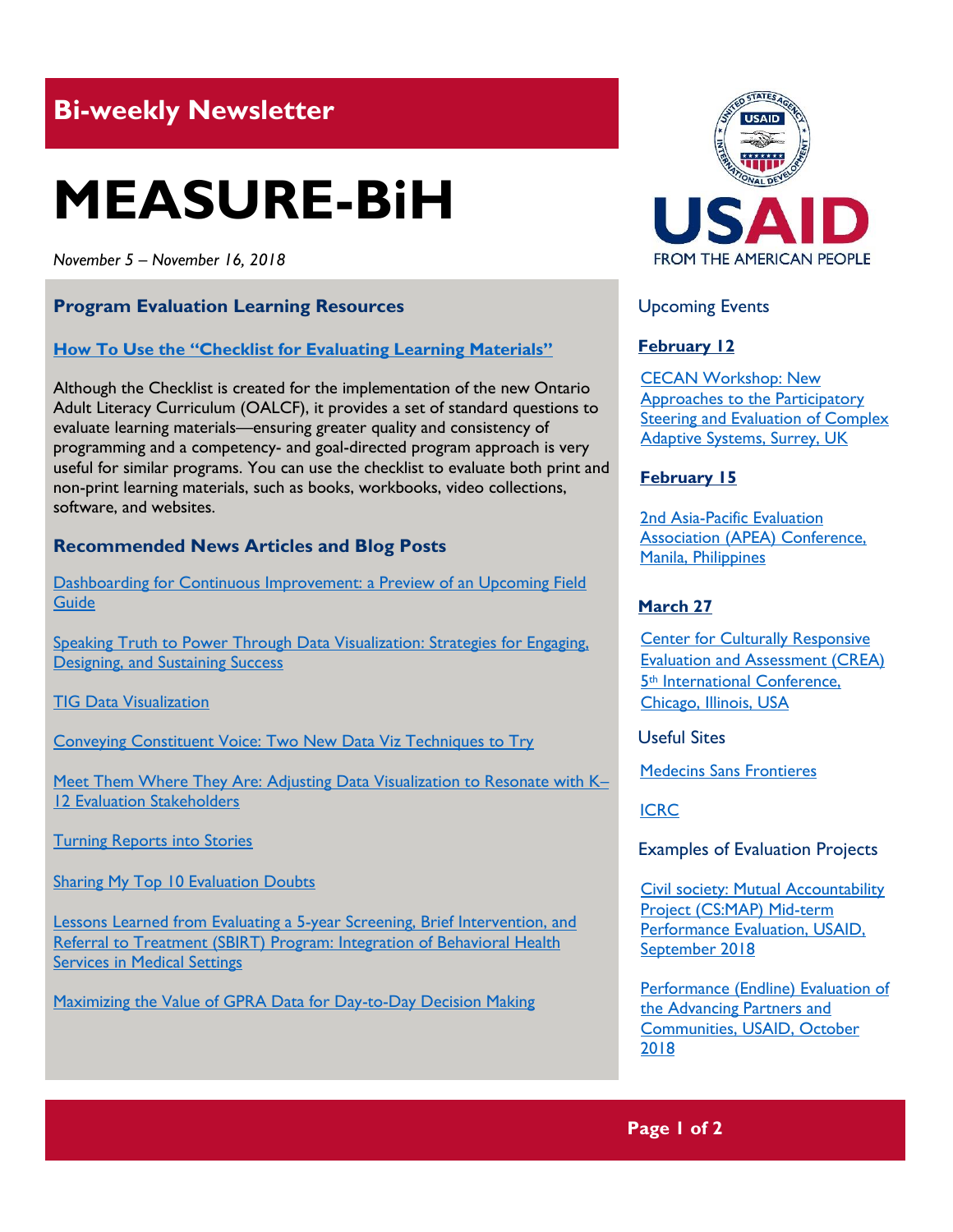## **Bi-weekly Newsletter**

# **MEASURE-BiH**

*November 5 – November 16, 2018*

#### **Program Evaluation Learning Resources**

#### **[How To Use the "Checklist for Evaluating Learning Materials"](http://www.tcu.gov.on.ca/eng/eopg/publications/OALCF_How_to_Evaluate_Learning_Materials_Mar_11.pdf)**

Although the Checklist is created for the implementation of the new Ontario Adult Literacy Curriculum (OALCF), it provides a set of standard questions to evaluate learning materials—ensuring greater quality and consistency of programming and a competency- and goal-directed program approach is very useful for similar programs. You can use the checklist to evaluate both print and non-print learning materials, such as books, workbooks, video collections, software, and websites.

#### **Recommended News Articles and Blog Posts**

[Dashboarding for Continuous Improvement: a Preview of an Upcoming Field](https://aea365.org/blog/dvr-tig-week-dashboarding-for-continuous-improvement-a-preview-of-an-upcoming-field-guide-by-veronica-s-smith/)  **Guide** 

[Speaking Truth to Power Through Data Visualization: Strategies for Engaging,](https://aea365.org/blog/dvr-tig-week-speaking-truth-to-power-through-data-visualization-strategies-for-engaging-designing-and-sustaining-success-by-robert-blagg-todd-franke-and-jonathan-litt/)  **[Designing, and Sustaining Success](https://aea365.org/blog/dvr-tig-week-speaking-truth-to-power-through-data-visualization-strategies-for-engaging-designing-and-sustaining-success-by-robert-blagg-todd-franke-and-jonathan-litt/)** 

**[TIG Data Visualization](https://aea365.org/blog/dvr-tig-week-tig-data-visualization-by-fiona-remnant/)** 

[Conveying Constituent Voice: Two New Data Viz Techniques to Try](https://aea365.org/blog/dvr-tig-week-conveying-constituent-voice-two-new-data-viz-techniques-to-try-by-elizabeth-diluzio/)

[Meet Them Where They Are: Adjusting Data Visualization to Resonate with K](https://aea365.org/blog/dvr-tig-week-meet-them-where-they-are-adjusting-data-visualization-to-resonate-with-k-12-evaluation-stakeholders-by-rachel-l-schechter/)– [12 Evaluation Stakeholders](https://aea365.org/blog/dvr-tig-week-meet-them-where-they-are-adjusting-data-visualization-to-resonate-with-k-12-evaluation-stakeholders-by-rachel-l-schechter/)

[Turning Reports into Stories](https://aea365.org/blog/dvr-tig-week-turning-reports-into-stories-by-john-nash-jenny-lyons-and-kasey-gordon/)

[Sharing My Top 10 Evaluation Doubts](https://aea365.org/blog/19807-2/) 

[Lessons Learned from Evaluating a 5-year Screening, Brief Intervention, and](https://aea365.org/blog/bh-tig-week-lessons-learned-from-evaluating-a-5-year-screening-brief-intervention-and-referral-to-treatment-sbirt-program-integration-of-behavioral-health-services-in-medical-settings-by-sindy-b/)  [Referral to Treatment \(SBIRT\) Program: Integration of Behavioral Health](https://aea365.org/blog/bh-tig-week-lessons-learned-from-evaluating-a-5-year-screening-brief-intervention-and-referral-to-treatment-sbirt-program-integration-of-behavioral-health-services-in-medical-settings-by-sindy-b/)  **[Services in Medical Settings](https://aea365.org/blog/bh-tig-week-lessons-learned-from-evaluating-a-5-year-screening-brief-intervention-and-referral-to-treatment-sbirt-program-integration-of-behavioral-health-services-in-medical-settings-by-sindy-b/)** 

[Maximizing the Value of GPRA Data for Day-to-Day Decision Making](https://aea365.org/blog/bh-tig-week-maximizing-the-value-of-gpra-data-for-day-to-day-decision-making-by-jennifer-battis/)



#### Upcoming Events

#### **February 12**

[CECAN Workshop: New](https://www.cecan.ac.uk/events/cecan-workshop-new-approaches-to-participatory-steering-and-evaluation-of-complex-adaptive)  [Approaches to the Participatory](https://www.cecan.ac.uk/events/cecan-workshop-new-approaches-to-participatory-steering-and-evaluation-of-complex-adaptive)  [Steering and Evaluation of Complex](https://www.cecan.ac.uk/events/cecan-workshop-new-approaches-to-participatory-steering-and-evaluation-of-complex-adaptive)  [Adaptive Systems, Surrey, UK](https://www.cecan.ac.uk/events/cecan-workshop-new-approaches-to-participatory-steering-and-evaluation-of-complex-adaptive) 

#### **February 15**

[2nd Asia-Pacific Evaluation](http://apeaconference2019.com/)  [Association \(APEA\) Conference,](http://apeaconference2019.com/)  [Manila, Philippines](http://apeaconference2019.com/) 

#### **March 27**

**Center for Culturally Responsive** [Evaluation and Assessment \(CREA\)](https://crea.education.illinois.edu/home/fifth-international-conference)  5th [International Conference,](https://crea.education.illinois.edu/home/fifth-international-conference)  [Chicago, Illinois, USA](https://crea.education.illinois.edu/home/fifth-international-conference) 

Useful Sites

[Medecins Sans Frontieres](https://www.msf.org/)

[ICRC](https://www.icrc.org/en)

Examples of Evaluation Projects

[Civil society: Mutual Accountability](https://dec.usaid.gov/dec/content/Detail_Presto.aspx?ctID=ODVhZjk4NWQtM2YyMi00YjRmLTkxNjktZTcxMjM2NDBmY2Uy&rID=NTEyOTYx&qrs=RmFsc2U%3d&q=KERvY3VtZW50cy5CaWJ0eXBlX05hbWU6KCgiU3BlY2lhbCBFdmFsdWF0aW9uIikgT1IgKCJGaW5hbCBFdmFsdWF0aW9uIFJlcG9ydCIpKSk%3d&ph=VHJ1ZQ%3d%3d&bckToL=VHJ1ZQ%3d%3d&rrtc=VHJ1ZQ%3d%3d)  [Project \(CS:MAP\) Mid-term](https://dec.usaid.gov/dec/content/Detail_Presto.aspx?ctID=ODVhZjk4NWQtM2YyMi00YjRmLTkxNjktZTcxMjM2NDBmY2Uy&rID=NTEyOTYx&qrs=RmFsc2U%3d&q=KERvY3VtZW50cy5CaWJ0eXBlX05hbWU6KCgiU3BlY2lhbCBFdmFsdWF0aW9uIikgT1IgKCJGaW5hbCBFdmFsdWF0aW9uIFJlcG9ydCIpKSk%3d&ph=VHJ1ZQ%3d%3d&bckToL=VHJ1ZQ%3d%3d&rrtc=VHJ1ZQ%3d%3d)  [Performance Evaluation, USAID,](https://dec.usaid.gov/dec/content/Detail_Presto.aspx?ctID=ODVhZjk4NWQtM2YyMi00YjRmLTkxNjktZTcxMjM2NDBmY2Uy&rID=NTEyOTYx&qrs=RmFsc2U%3d&q=KERvY3VtZW50cy5CaWJ0eXBlX05hbWU6KCgiU3BlY2lhbCBFdmFsdWF0aW9uIikgT1IgKCJGaW5hbCBFdmFsdWF0aW9uIFJlcG9ydCIpKSk%3d&ph=VHJ1ZQ%3d%3d&bckToL=VHJ1ZQ%3d%3d&rrtc=VHJ1ZQ%3d%3d)  [September](https://dec.usaid.gov/dec/content/Detail_Presto.aspx?ctID=ODVhZjk4NWQtM2YyMi00YjRmLTkxNjktZTcxMjM2NDBmY2Uy&rID=NTEyOTYx&qrs=RmFsc2U%3d&q=KERvY3VtZW50cy5CaWJ0eXBlX05hbWU6KCgiU3BlY2lhbCBFdmFsdWF0aW9uIikgT1IgKCJGaW5hbCBFdmFsdWF0aW9uIFJlcG9ydCIpKSk%3d&ph=VHJ1ZQ%3d%3d&bckToL=VHJ1ZQ%3d%3d&rrtc=VHJ1ZQ%3d%3d) 2018

[Performance \(Endline\) Evaluation of](https://dec.usaid.gov/dec/content/Detail_Presto.aspx?ctID=ODVhZjk4NWQtM2YyMi00YjRmLTkxNjktZTcxMjM2NDBmY2Uy&rID=NTEwNTgw&qrs=RmFsc2U%3d&q=KERvY3VtZW50cy5CaWJ0eXBlX05hbWU6KCgiU3BlY2lhbCBFdmFsdWF0aW9uIikgT1IgKCJGaW5hbCBFdmFsdWF0aW9uIFJlcG9ydCIpKSk%3d&swi=eW91dGg%3d&ph=VHJ1ZQ%3d%3d&bckToL=VHJ1ZQ%3d%3d&rrtc=VHJ1ZQ%3d%3d)  [the Advancing Partners and](https://dec.usaid.gov/dec/content/Detail_Presto.aspx?ctID=ODVhZjk4NWQtM2YyMi00YjRmLTkxNjktZTcxMjM2NDBmY2Uy&rID=NTEwNTgw&qrs=RmFsc2U%3d&q=KERvY3VtZW50cy5CaWJ0eXBlX05hbWU6KCgiU3BlY2lhbCBFdmFsdWF0aW9uIikgT1IgKCJGaW5hbCBFdmFsdWF0aW9uIFJlcG9ydCIpKSk%3d&swi=eW91dGg%3d&ph=VHJ1ZQ%3d%3d&bckToL=VHJ1ZQ%3d%3d&rrtc=VHJ1ZQ%3d%3d)  [Communities, USAID, October](https://dec.usaid.gov/dec/content/Detail_Presto.aspx?ctID=ODVhZjk4NWQtM2YyMi00YjRmLTkxNjktZTcxMjM2NDBmY2Uy&rID=NTEwNTgw&qrs=RmFsc2U%3d&q=KERvY3VtZW50cy5CaWJ0eXBlX05hbWU6KCgiU3BlY2lhbCBFdmFsdWF0aW9uIikgT1IgKCJGaW5hbCBFdmFsdWF0aW9uIFJlcG9ydCIpKSk%3d&swi=eW91dGg%3d&ph=VHJ1ZQ%3d%3d&bckToL=VHJ1ZQ%3d%3d&rrtc=VHJ1ZQ%3d%3d) [2018](https://dec.usaid.gov/dec/content/Detail_Presto.aspx?ctID=ODVhZjk4NWQtM2YyMi00YjRmLTkxNjktZTcxMjM2NDBmY2Uy&rID=NTEwNTgw&qrs=RmFsc2U%3d&q=KERvY3VtZW50cy5CaWJ0eXBlX05hbWU6KCgiU3BlY2lhbCBFdmFsdWF0aW9uIikgT1IgKCJGaW5hbCBFdmFsdWF0aW9uIFJlcG9ydCIpKSk%3d&swi=eW91dGg%3d&ph=VHJ1ZQ%3d%3d&bckToL=VHJ1ZQ%3d%3d&rrtc=VHJ1ZQ%3d%3d)